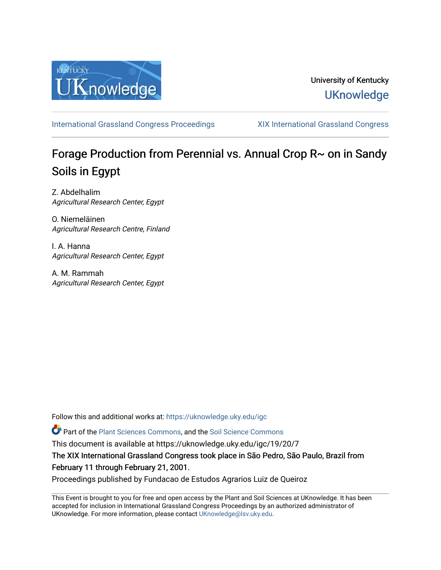

### University of Kentucky **UKnowledge**

[International Grassland Congress Proceedings](https://uknowledge.uky.edu/igc) [XIX International Grassland Congress](https://uknowledge.uky.edu/igc/19) 

# Forage Production from Perennial vs. Annual Crop  $R \sim$  on in Sandy Soils in Egypt

Z. Abdelhalim Agricultural Research Center, Egypt

O. Niemeläinen Agricultural Research Centre, Finland

I. A. Hanna Agricultural Research Center, Egypt

A. M. Rammah Agricultural Research Center, Egypt

Follow this and additional works at: [https://uknowledge.uky.edu/igc](https://uknowledge.uky.edu/igc?utm_source=uknowledge.uky.edu%2Figc%2F19%2F20%2F7&utm_medium=PDF&utm_campaign=PDFCoverPages) 

Part of the [Plant Sciences Commons](http://network.bepress.com/hgg/discipline/102?utm_source=uknowledge.uky.edu%2Figc%2F19%2F20%2F7&utm_medium=PDF&utm_campaign=PDFCoverPages), and the [Soil Science Commons](http://network.bepress.com/hgg/discipline/163?utm_source=uknowledge.uky.edu%2Figc%2F19%2F20%2F7&utm_medium=PDF&utm_campaign=PDFCoverPages) 

This document is available at https://uknowledge.uky.edu/igc/19/20/7

The XIX International Grassland Congress took place in São Pedro, São Paulo, Brazil from February 11 through February 21, 2001.

Proceedings published by Fundacao de Estudos Agrarios Luiz de Queiroz

This Event is brought to you for free and open access by the Plant and Soil Sciences at UKnowledge. It has been accepted for inclusion in International Grassland Congress Proceedings by an authorized administrator of UKnowledge. For more information, please contact [UKnowledge@lsv.uky.edu](mailto:UKnowledge@lsv.uky.edu).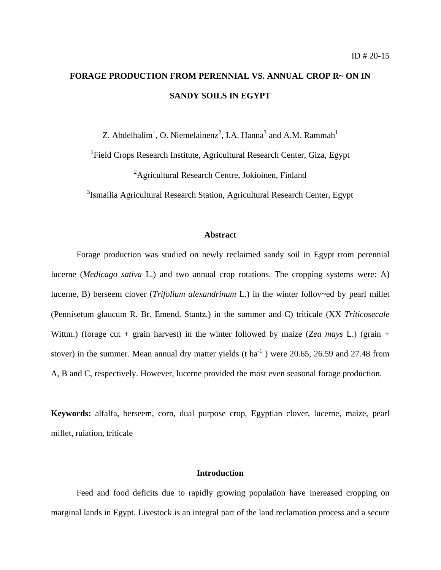## **FORAGE PRODUCTION FROM PERENNIAL VS. ANNUAL CROP R~ ON IN SANDY SOILS IN EGYPT**

Z. Abdelhalim<sup>1</sup>, O. Niemelainenz<sup>2</sup>, I.A. Hanna<sup>3</sup> and A.M. Rammah<sup>1</sup>

<sup>1</sup>Field Crops Research Institute, Agricultural Research Center, Giza, Egypt

<sup>2</sup>Agricultural Research Centre, Jokioinen, Finland

<sup>3</sup>Ismailia Agricultural Research Station, Agricultural Research Center, Egypt

#### **Abstract**

Forage production was studied on newly reclaimed sandy soil in Egypt trom perennial lucerne (*Medicago sativa* L.) and two annual crop rotations. The cropping systems were: A) lucerne, B) berseem clover (*Trifolium alexandrinum* L.) in the winter follov~ed by pearl millet (Pennisetum glaucum R. Br. Emend. Stantz.) in the summer and C) triticale (XX *Triticosecale* Wittm.) (forage cut + grain harvest) in the winter followed by maize (*Zea mays L*.) (grain + stover) in the summer. Mean annual dry matter yields (t ha<sup>-1</sup>) were 20.65, 26.59 and 27.48 from A, B and C, respectively. However, lucerne provided the most even seasonal forage production.

**Keywords:** alfalfa, berseem, corn, dual purpose crop, Egyptian clover, lucerne, maize, pearl millet, ruiation, triticale

#### **Introduction**

Feed and food deficits due to rapidly growing populaüon have inereased cropping on marginal lands in Egypt. Livestock is an integral part of the land reclamation process and a secure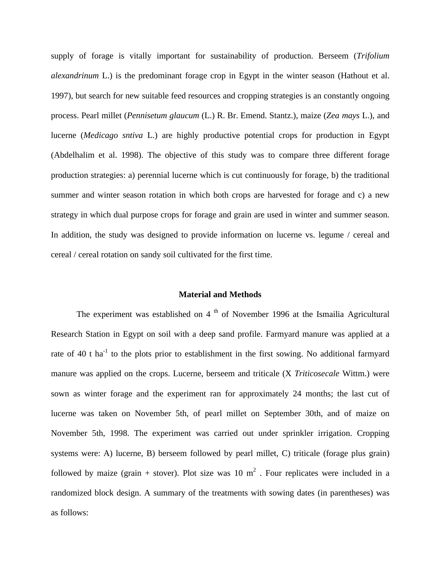supply of forage is vitally important for sustainability of production. Berseem (*Trifolium alexandrinum* L.) is the predominant forage crop in Egypt in the winter season (Hathout et al. 1997), but search for new suitable feed resources and cropping strategies is an constantly ongoing process. Pearl millet (*Pennisetum glaucum* (L.) R. Br. Emend. Stantz.), maize (*Zea mays* L.), and lucerne (*Medicago sntiva* L.) are highly productive potential crops for production in Egypt (Abdelhalim et al. 1998). The objective of this study was to compare three different forage production strategies: a) perennial lucerne which is cut continuously for forage, b) the traditional summer and winter season rotation in which both crops are harvested for forage and c) a new strategy in which dual purpose crops for forage and grain are used in winter and summer season. In addition, the study was designed to provide information on lucerne vs. legume / cereal and cereal / cereal rotation on sandy soil cultivated for the first time.

#### **Material and Methods**

The experiment was established on 4  $<sup>th</sup>$  of November 1996 at the Ismailia Agricultural</sup> Research Station in Egypt on soil with a deep sand profile. Farmyard manure was applied at a rate of 40 t  $ha^{-1}$  to the plots prior to establishment in the first sowing. No additional farmyard manure was applied on the crops. Lucerne, berseem and triticale (X *Triticosecale* Wittm.) were sown as winter forage and the experiment ran for approximately 24 months; the last cut of lucerne was taken on November 5th, of pearl millet on September 30th, and of maize on November 5th, 1998. The experiment was carried out under sprinkler irrigation. Cropping systems were: A) lucerne, B) berseem followed by pearl millet, C) triticale (forage plus grain) followed by maize (grain + stover). Plot size was 10  $m^2$  . Four replicates were included in a randomized block design. A summary of the treatments with sowing dates (in parentheses) was as follows: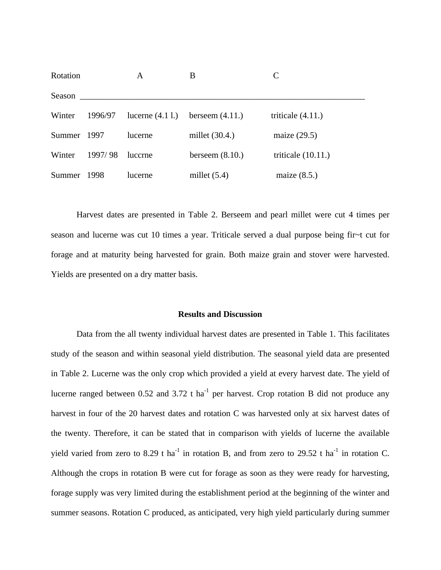| Rotation    |         | A                  | B                 | $\mathcal{C}$        |
|-------------|---------|--------------------|-------------------|----------------------|
| Season      |         |                    |                   |                      |
| Winter      | 1996/97 | lucerne $(4.1 1.)$ | berseem $(4.11.)$ | triticale $(4.11.)$  |
| Summer 1997 |         | lucerne            | millet $(30.4.)$  | maize $(29.5)$       |
| Winter      | 1997/98 | luccrne            | berseem $(8.10.)$ | triticale $(10.11.)$ |
| Summer      | 1998    | lucerne            | millet $(5.4)$    | maize $(8.5.)$       |

Harvest dates are presented in Table 2. Berseem and pearl millet were cut 4 times per season and lucerne was cut 10 times a year. Triticale served a dual purpose being fir~t cut for forage and at maturity being harvested for grain. Both maize grain and stover were harvested. Yields are presented on a dry matter basis.

#### **Results and Discussion**

Data from the all twenty individual harvest dates are presented in Table 1. This facilitates study of the season and within seasonal yield distribution. The seasonal yield data are presented in Table 2. Lucerne was the only crop which provided a yield at every harvest date. The yield of lucerne ranged between 0.52 and 3.72 t ha<sup>-1</sup> per harvest. Crop rotation B did not produce any harvest in four of the 20 harvest dates and rotation C was harvested only at six harvest dates of the twenty. Therefore, it can be stated that in comparison with yields of lucerne the available yield varied from zero to 8.29 t ha<sup>-1</sup> in rotation B, and from zero to 29.52 t ha<sup>-1</sup> in rotation C. Although the crops in rotation B were cut for forage as soon as they were ready for harvesting, forage supply was very limited during the establishment period at the beginning of the winter and summer seasons. Rotation C produced, as anticipated, very high yield particularly during summer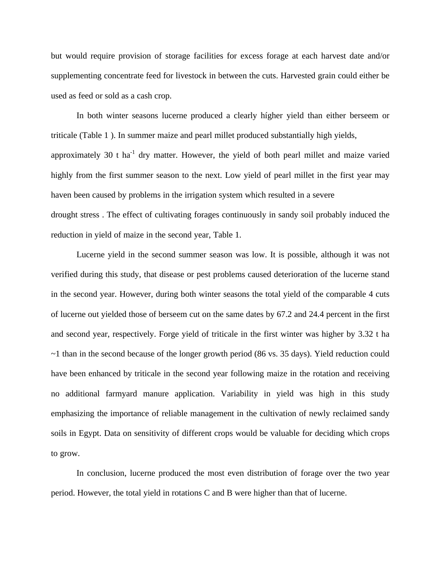but would require provision of storage facilities for excess forage at each harvest date and/or supplementing concentrate feed for livestock in between the cuts. Harvested grain could either be used as feed or sold as a cash crop.

In both winter seasons lucerne produced a clearly hígher yield than either berseem or triticale (Table 1 ). In summer maize and pearl millet produced substantially high yields, approximately 30 t ha $^{-1}$  dry matter. However, the yield of both pearl millet and maize varied highly from the first summer season to the next. Low yield of pearl millet in the first year may haven been caused by problems in the irrigation system which resulted in a severe drought stress . The effect of cultivating forages continuously in sandy soil probably induced the reduction in yield of maize in the second year, Table 1.

Lucerne yield in the second summer season was low. It is possible, although it was not verified during this study, that disease or pest problems caused deterioration of the lucerne stand in the second year. However, during both winter seasons the total yield of the comparable 4 cuts of lucerne out yielded those of berseem cut on the same dates by 67.2 and 24.4 percent in the first and second year, respectively. Forge yield of triticale in the first winter was higher by 3.32 t ha  $\sim$ 1 than in the second because of the longer growth period (86 vs. 35 days). Yield reduction could have been enhanced by triticale in the second year following maize in the rotation and receiving no additional farmyard manure application. Variability in yield was high in this study emphasizing the importance of reliable management in the cultivation of newly reclaimed sandy soils in Egypt. Data on sensitivity of different crops would be valuable for deciding which crops to grow.

In conclusion, lucerne produced the most even distribution of forage over the two year period. However, the total yield in rotations C and B were higher than that of lucerne.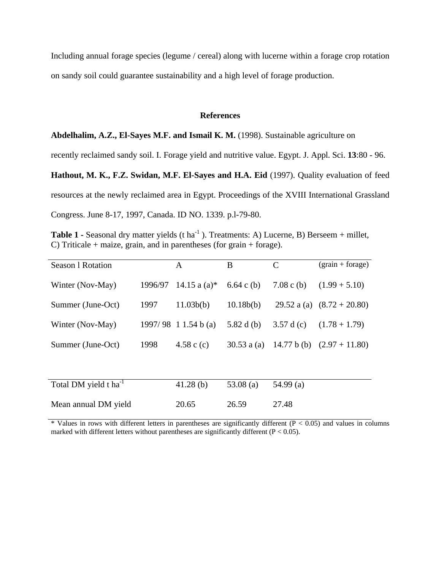Including annual forage species (legume / cereal) along with lucerne within a forage crop rotation on sandy soil could guarantee sustainability and a high level of forage production.

#### **References**

**Abdelhalim, A.Z., El-Sayes M.F. and Ismail K. M.** (1998). Sustainable agriculture on

recently reclaimed sandy soil. I. Forage yield and nutritive value. Egypt. J. Appl. Sci. **13**:80 - 96.

**Hathout, M. K., F.Z. Swidan, M.F. El-Sayes and H.A. Eid** (1997). Quality evaluation of feed resources at the newly reclaimed area in Egypt. Proceedings of the XVIII International Grassland Congress. June 8-17, 1997, Canada. ID NO. 1339. p.l-79-80.

**Table 1 -** Seasonal dry matter yields (t ha<sup>-1</sup>). Treatments: A) Lucerne, B) Berseem + millet, C) Triticale + maize, grain, and in parentheses (for grain + forage).

| <b>Season 1 Rotation</b>          |         | A                      | B            | C            | $(grain + forage)$           |
|-----------------------------------|---------|------------------------|--------------|--------------|------------------------------|
| Winter (Nov-May)                  | 1996/97 | 14.15 a (a)*           | 6.64 c (b)   | 7.08 c (b)   | $(1.99 + 5.10)$              |
| Summer (June-Oct)                 | 1997    | 11.03b(b)              | 10.18b(b)    |              | 29.52 a (a) $(8.72 + 20.80)$ |
| Winter (Nov-May)                  |         | $1997/98$ 1 1.54 b (a) | 5.82 d $(b)$ | 3.57 d $(c)$ | $(1.78 + 1.79)$              |
| Summer (June-Oct)                 | 1998    | 4.58 c $(c)$           | 30.53 $a(a)$ |              | 14.77 b (b) $(2.97 + 11.80)$ |
|                                   |         |                        |              |              |                              |
| Total DM yield t ha <sup>-1</sup> |         | 41.28(b)               | 53.08 $(a)$  | 54.99(a)     |                              |
| Mean annual DM yield              |         | 20.65                  | 26.59        | 27.48        |                              |

 $*$  Values in rows with different letters in parentheses are significantly different ( $P < 0.05$ ) and values in columns marked with different letters without parentheses are significantly different ( $P < 0.05$ ).